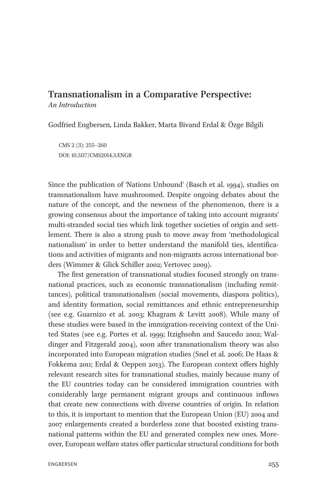## Transnationalism in a Comparative Perspective:

An Introduction

Godfried Engbersen, Linda Bakker, Marta Bivand Erdal & Özge Bilgili

CMS 2 (3): 255–260 DOI: 10.5117/CMS2014.3.ENGB

Since the publication of 'Nations Unbound' (Basch et al. 1994), studies on transnationalism have mushroomed. Despite ongoing debates about the nature of the concept, and the newness of the phenomenon, there is a growing consensus about the importance of taking into account migrants' multi-stranded social ties which link together societies of origin and settlement. There is also a strong push to move away from 'methodological nationalism' in order to better understand the manifold ties, identifications and activities of migrants and non-migrants across international borders (Wimmer & Glick Schiller 2002; Vertovec 2009).

The first generation of transnational studies focused strongly on transnational practices, such as economic transnationalism (including remittances), political transnationalism (social movements, diaspora politics), and identity formation, social remittances and ethnic entrepreneurship (see e.g. Guarnizo et al. 2003; Khagram & Levitt 2008). While many of these studies were based in the immigration-receiving context of the United States (see e.g. Portes et al. 1999; Itzighsohn and Saucedo 2002; Waldinger and Fitzgerald 2004), soon after transnationalism theory was also incorporated into European migration studies (Snel et al. 2006; De Haas & Fokkema 2011; Erdal & Oeppen 2013). The European context offers highly relevant research sites for transnational studies, mainly because many of the EU countries today can be considered immigration countries with considerably large permanent migrant groups and continuous inflows that create new connections with diverse countries of origin. In relation to this, it is important to mention that the European Union (EU) 2004 and 2007 enlargements created a borderless zone that boosted existing transnational patterns within the EU and generated complex new ones. Moreover, European welfare states offer particular structural conditions for both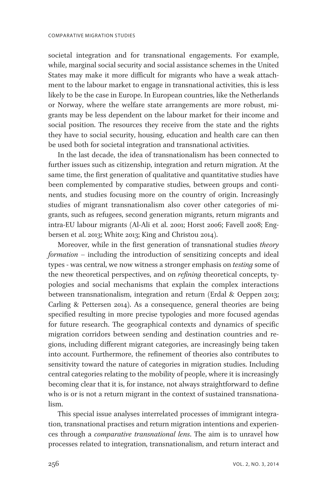societal integration and for transnational engagements. For example, while, marginal social security and social assistance schemes in the United States may make it more difficult for migrants who have a weak attachment to the labour market to engage in transnational activities, this is less likely to be the case in Europe. In European countries, like the Netherlands or Norway, where the welfare state arrangements are more robust, migrants may be less dependent on the labour market for their income and social position. The resources they receive from the state and the rights they have to social security, housing, education and health care can then be used both for societal integration and transnational activities.

In the last decade, the idea of transnationalism has been connected to further issues such as citizenship, integration and return migration. At the same time, the first generation of qualitative and quantitative studies have been complemented by comparative studies, between groups and continents, and studies focusing more on the country of origin. Increasingly studies of migrant transnationalism also cover other categories of migrants, such as refugees, second generation migrants, return migrants and intra-EU labour migrants (Al-Ali et al. 2001; Horst 2006; Favell 2008; Engbersen et al. 2013; White 2013; King and Christou 2014).

Moreover, while in the first generation of transnational studies theory formation – including the introduction of sensitizing concepts and ideal types - was central, we now witness a stronger emphasis on testing some of the new theoretical perspectives, and on refining theoretical concepts, typologies and social mechanisms that explain the complex interactions between transnationalism, integration and return (Erdal & Oeppen 2013; Carling & Pettersen 2014). As a consequence, general theories are being specified resulting in more precise typologies and more focused agendas for future research. The geographical contexts and dynamics of specific migration corridors between sending and destination countries and regions, including different migrant categories, are increasingly being taken into account. Furthermore, the refinement of theories also contributes to sensitivity toward the nature of categories in migration studies. Including central categories relating to the mobility of people, where it is increasingly becoming clear that it is, for instance, not always straightforward to define who is or is not a return migrant in the context of sustained transnationalism.

This special issue analyses interrelated processes of immigrant integration, transnational practises and return migration intentions and experiences through a comparative transnational lens. The aim is to unravel how processes related to integration, transnationalism, and return interact and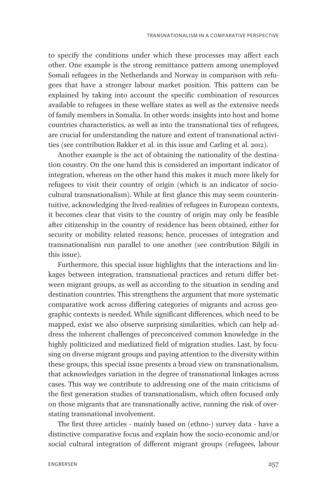to specify the conditions under which these processes may affect each other. One example is the strong remittance pattern among unemployed Somali refugees in the Netherlands and Norway in comparison with refugees that have a stronger labour market position. This pattern can be explained by taking into account the specific combination of resources available to refugees in these welfare states as well as the extensive needs of family members in Somalia. In other words: insights into host and home countries characteristics, as well as into the transnational ties of refugees, are crucial for understanding the nature and extent of transnational activities (see contribution Bakker et al. in this issue and Carling et al. 2012).

Another example is the act of obtaining the nationality of the destination country. On the one hand this is considered an important indicator of integration, whereas on the other hand this makes it much more likely for refugees to visit their country of origin (which is an indicator of sociocultural transnationalism). While at first glance this may seem counterintuitive, acknowledging the lived-realities of refugees in European contexts, it becomes clear that visits to the country of origin may only be feasible after citizenship in the country of residence has been obtained, either for security or mobility related reasons; hence, processes of integration and transnationalism run parallel to one another (see contribution Bilgili in this issue).

Furthermore, this special issue highlights that the interactions and linkages between integration, transnational practices and return differ between migrant groups, as well as according to the situation in sending and destination countries. This strengthens the argument that more systematic comparative work across differing categories of migrants and across geographic contexts is needed. While significant differences, which need to be mapped, exist we also observe surprising similarities, which can help address the inherent challenges of preconceived common knowledge in the highly politicized and mediatized field of migration studies. Last, by focusing on diverse migrant groups and paying attention to the diversity within these groups, this special issue presents a broad view on transnationalism, that acknowledges variation in the degree of transnational linkages across cases. This way we contribute to addressing one of the main criticisms of the first generation studies of transnationalism, which often focused only on those migrants that are transnationally active, running the risk of overstating transnational involvement.

The first three articles - mainly based on (ethno-) survey data - have a distinctive comparative focus and explain how the socio-economic and/or social cultural integration of different migrant groups (refugees, labour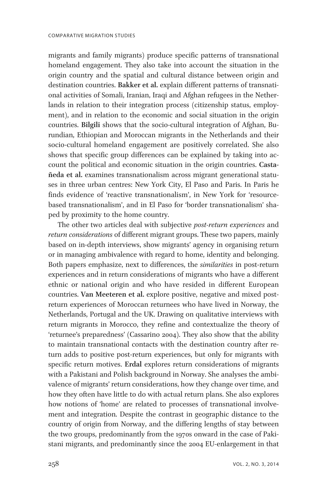migrants and family migrants) produce specific patterns of transnational homeland engagement. They also take into account the situation in the origin country and the spatial and cultural distance between origin and destination countries. Bakker et al. explain different patterns of transnational activities of Somali, Iranian, Iraqi and Afghan refugees in the Netherlands in relation to their integration process (citizenship status, employment), and in relation to the economic and social situation in the origin countries. Bilgili shows that the socio-cultural integration of Afghan, Burundian, Ethiopian and Moroccan migrants in the Netherlands and their socio-cultural homeland engagement are positively correlated. She also shows that specific group differences can be explained by taking into account the political and economic situation in the origin countries. Castañeda et al. examines transnationalism across migrant generational statuses in three urban centres: New York City, El Paso and Paris. In Paris he finds evidence of 'reactive transnationalism', in New York for 'resourcebased transnationalism', and in El Paso for 'border transnationalism' shaped by proximity to the home country.

The other two articles deal with subjective post-return experiences and return considerations of different migrant groups. These two papers, mainly based on in-depth interviews, show migrants' agency in organising return or in managing ambivalence with regard to home, identity and belonging. Both papers emphasize, next to differences, the similarities in post-return experiences and in return considerations of migrants who have a different ethnic or national origin and who have resided in different European countries. Van Meeteren et al. explore positive, negative and mixed postreturn experiences of Moroccan returnees who have lived in Norway, the Netherlands, Portugal and the UK. Drawing on qualitative interviews with return migrants in Morocco, they refine and contextualize the theory of 'returnee's preparedness' (Cassarino 2004). They also show that the ability to maintain transnational contacts with the destination country after return adds to positive post-return experiences, but only for migrants with specific return motives. Erdal explores return considerations of migrants with a Pakistani and Polish background in Norway. She analyses the ambivalence of migrants' return considerations, how they change over time, and how they often have little to do with actual return plans. She also explores how notions of 'home' are related to processes of transnational involvement and integration. Despite the contrast in geographic distance to the country of origin from Norway, and the differing lengths of stay between the two groups, predominantly from the 1970s onward in the case of Pakistani migrants, and predominantly since the 2004 EU-enlargement in that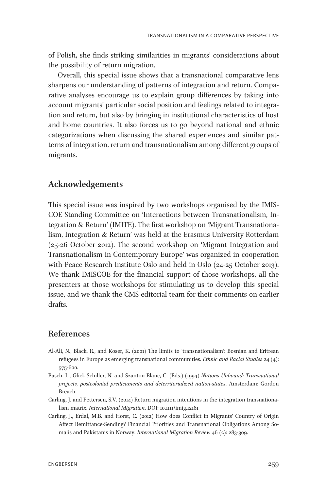of Polish, she finds striking similarities in migrants' considerations about the possibility of return migration.

Overall, this special issue shows that a transnational comparative lens sharpens our understanding of patterns of integration and return. Comparative analyses encourage us to explain group differences by taking into account migrants' particular social position and feelings related to integration and return, but also by bringing in institutional characteristics of host and home countries. It also forces us to go beyond national and ethnic categorizations when discussing the shared experiences and similar patterns of integration, return and transnationalism among different groups of migrants.

## Acknowledgements

This special issue was inspired by two workshops organised by the IMIS-COE Standing Committee on 'Interactions between Transnationalism, Integration & Return' (IMITE). The first workshop on 'Migrant Transnationalism, Integration & Return' was held at the Erasmus University Rotterdam (25-26 October 2012). The second workshop on 'Migrant Integration and Transnationalism in Contemporary Europe' was organized in cooperation with Peace Research Institute Oslo and held in Oslo (24-25 October 2013). We thank IMISCOE for the financial support of those workshops, all the presenters at those workshops for stimulating us to develop this special issue, and we thank the CMS editorial team for their comments on earlier drafts.

## References

- Al-Ali, N., Black, R., and Koser, K. (2001) The limits to 'transnationalism': Bosnian and Eritrean refugees in Europe as emerging transnational communities. *Ethnic and Racial Studies*  $24$  (4): 575-600.
- Basch, L., Glick Schiller, N. and Szanton Blanc, C. (Eds.) (1994) Nations Unbound: Transnational projects, postcolonial predicaments and deterritorialized nation-states. Amsterdam: Gordon Breach.
- Carling, J. and Pettersen, S.V. (2014) Return migration intentions in the integration transnationalism matrix. International Migration. DOI: 10.1111/imig.12161
- Carling, J., Erdal, M.B. and Horst, C. (2012) How does Conflict in Migrants' Country of Origin Affect Remittance-Sending? Financial Priorities and Transnational Obligations Among Somalis and Pakistanis in Norway. International Migration Review 46 (2): 283-309.